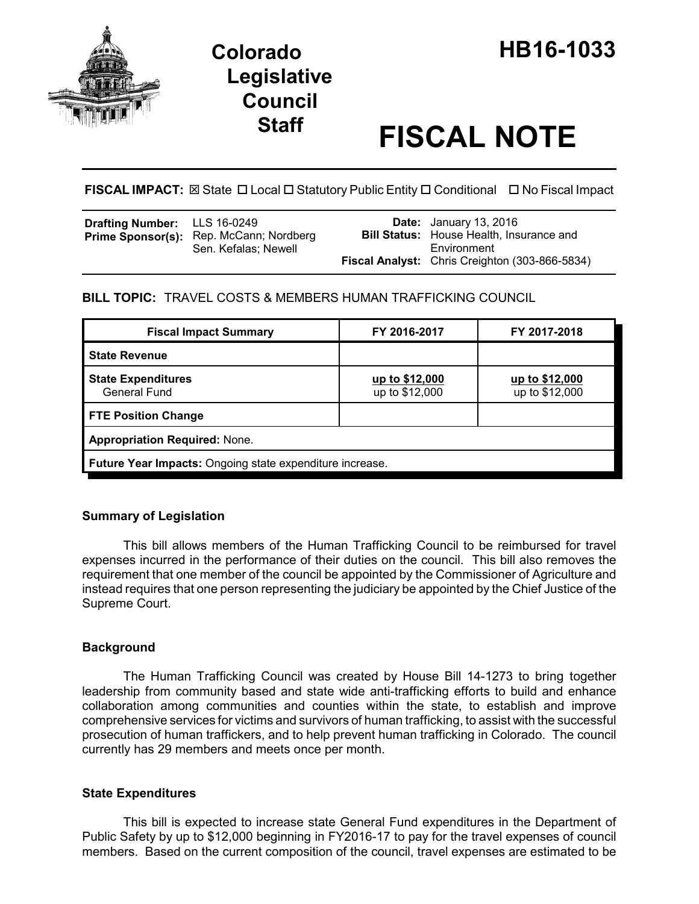

# **Legislative Council**

# **Staff FISCAL NOTE**

**FISCAL IMPACT:** ⊠ State □ Local □ Statutory Public Entity □ Conditional □ No Fiscal Impact

| <b>Drafting Number:</b> LLS 16-0249<br>Prime Sponsor(s): Rep. McCann; Nordberg<br>Sen. Kefalas; Newell | <b>Date:</b> January 13, 2016<br><b>Bill Status:</b> House Health, Insurance and<br>Environment |
|--------------------------------------------------------------------------------------------------------|-------------------------------------------------------------------------------------------------|
|                                                                                                        | Fiscal Analyst: Chris Creighton (303-866-5834)                                                  |

# **BILL TOPIC:** TRAVEL COSTS & MEMBERS HUMAN TRAFFICKING COUNCIL

| <b>Fiscal Impact Summary</b>                             | FY 2016-2017                     | FY 2017-2018                     |  |  |  |
|----------------------------------------------------------|----------------------------------|----------------------------------|--|--|--|
| <b>State Revenue</b>                                     |                                  |                                  |  |  |  |
| <b>State Expenditures</b><br>General Fund                | up to \$12,000<br>up to \$12,000 | up to \$12,000<br>up to \$12,000 |  |  |  |
| <b>FTE Position Change</b>                               |                                  |                                  |  |  |  |
| <b>Appropriation Required: None.</b>                     |                                  |                                  |  |  |  |
| Future Year Impacts: Ongoing state expenditure increase. |                                  |                                  |  |  |  |

## **Summary of Legislation**

This bill allows members of the Human Trafficking Council to be reimbursed for travel expenses incurred in the performance of their duties on the council. This bill also removes the requirement that one member of the council be appointed by the Commissioner of Agriculture and instead requires that one person representing the judiciary be appointed by the Chief Justice of the Supreme Court.

# **Background**

The Human Trafficking Council was created by House Bill 14-1273 to bring together leadership from community based and state wide anti-trafficking efforts to build and enhance collaboration among communities and counties within the state, to establish and improve comprehensive services for victims and survivors of human trafficking, to assist with the successful prosecution of human traffickers, and to help prevent human trafficking in Colorado. The council currently has 29 members and meets once per month.

## **State Expenditures**

This bill is expected to increase state General Fund expenditures in the Department of Public Safety by up to \$12,000 beginning in FY2016-17 to pay for the travel expenses of council members. Based on the current composition of the council, travel expenses are estimated to be